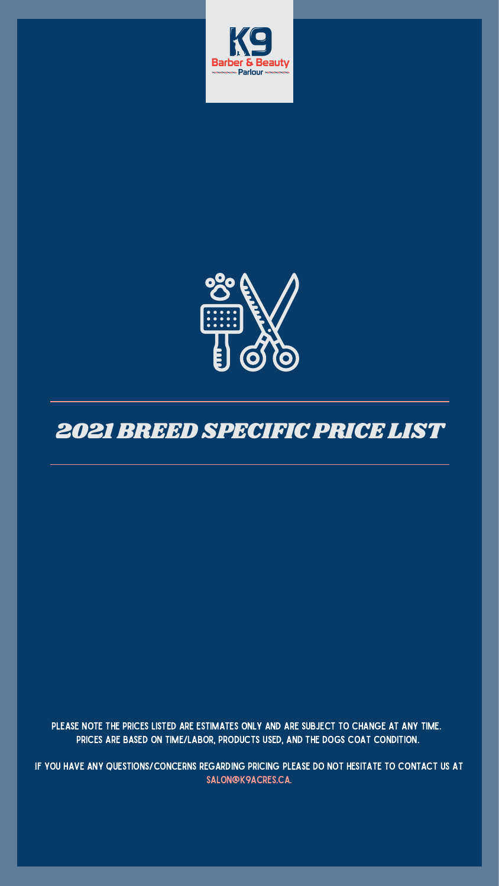PLEASE NOTE THE PRICES LISTED ARE ESTIMATES ONLY AND ARE SUBJECT TO CHANGE AT ANY TIME. PRICES ARE BASED ON TIME/LABOR, PRODUCTS USED, AND THE DOGS COAT CONDITION.

IF YOU HAVE ANY QUESTIONS/CONCERNS REGARDING PRICING PLEASE DO NOT HESITATE TO CONTACT US AT SALON@K9ACRES.CA.





## 2021 BREED SPECIFICPRICELIST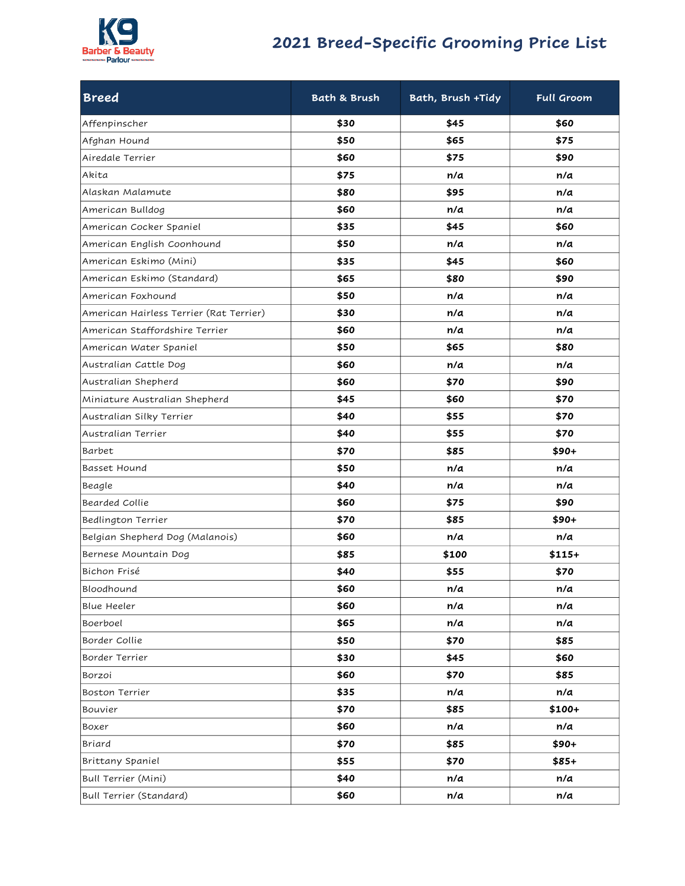

## **2021 Breed-Specific Grooming Price List**

| <b>Breed</b>                            | <b>Bath &amp; Brush</b> | Bath, Brush +Tidy | <b>Full Groom</b> |
|-----------------------------------------|-------------------------|-------------------|-------------------|
| Affenpinscher                           | \$30                    | \$45              | \$60              |
| Afghan Hound                            | \$50                    | \$65              | \$75              |
| Airedale Terrier                        | \$60                    | \$75              | \$90              |
| Akita                                   | \$75                    | n/a               | n/a               |
| Alaskan Malamute                        | \$80                    | \$95              | n/a               |
| American Bulldog                        | \$60                    | n/a               | n/a               |
| American Cocker Spaniel                 | \$35                    | \$45              | \$60              |
| American English Coonhound              | \$50                    | n/a               | n/a               |
| American Eskimo (Mini)                  | \$35                    | \$45              | \$60              |
| American Eskimo (Standard)              | \$65                    | \$80              | \$90              |
| American Foxhound                       | \$50                    | n/a               | n/a               |
| American Hairless Terrier (Rat Terrier) | \$30                    | n/a               | n/a               |
| American Staffordshire Terrier          | \$60                    | n/a               | n/a               |
| American Water Spaniel                  | \$50                    | \$65              | \$80              |
| Australian Cattle Dog                   | \$60                    | n/a               | n/a               |
| Australian Shepherd                     | \$60                    | \$70              | \$90              |
| Miniature Australian Shepherd           | \$45                    | \$60              | \$70              |
| Australian Silky Terrier                | \$40                    | \$55              | \$70              |
| Australian Terrier                      | \$40                    | \$55              | \$70              |
| Barbet                                  | \$70                    | \$85              | \$90+             |
| <b>Basset Hound</b>                     | \$50                    | n/a               | n/a               |
| Beagle                                  | \$40                    | n/a               | n/a               |
| Bearded Collie                          | \$60                    | \$75              | \$90              |
| Bedlington Terrier                      | \$70                    | \$85              | $$90+$            |
| Belgian Shepherd Dog (Malanois)         | \$60                    | n/a               | n/a               |
| Bernese Mountain Dog                    | \$85                    | \$100             | $$115+$           |
| Bichon Frisé                            | \$40                    | \$55              | \$70              |
| Bloodhound                              | \$60                    | n/a               | n/a               |
| <b>Blue Heeler</b>                      | \$60                    | n/a               | n/a               |
| Boerboel                                | \$65                    | n/a               | n/a               |
| Border Collie                           | \$50                    | \$70              | \$85              |
| Border Terrier                          | \$30                    | \$45              | \$60              |
| Borzoi                                  | \$60                    | \$70              | \$85              |
| Boston Terrier                          | \$35                    | n/a               | n/a               |
| Bouvier                                 | \$70                    | \$85              | $$100+$           |
| Boxer                                   | \$60                    | n/a               | n/a               |
| Briard                                  | \$70                    | \$85              | $$90+$            |
| Brittany Spaniel                        | \$55                    | \$70              | $$85+$            |
| Bull Terrier (Mini)                     | \$40                    | n/a               | n/a               |
| Bull Terrier (Standard)                 | \$60                    | n/a               | n/a               |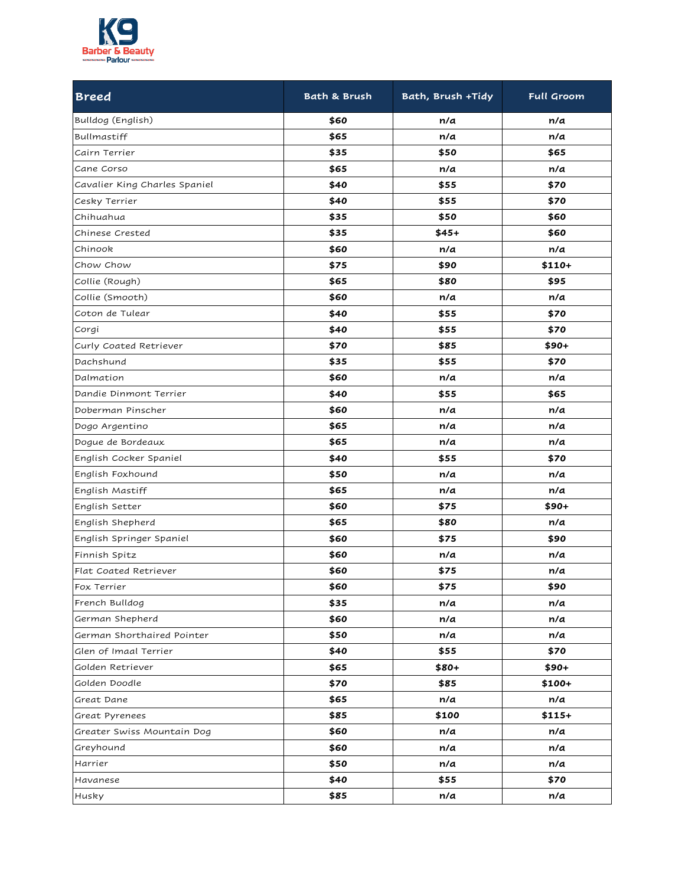

| <b>Breed</b>                  | <b>Bath &amp; Brush</b> | Bath, Brush +Tidy | Full Groom |
|-------------------------------|-------------------------|-------------------|------------|
| Bulldog (English)             | \$60                    | n/a               | n/a        |
| Bullmastiff                   | \$65                    | n/a               | n/a        |
| Cairn Terrier                 | \$35                    | \$50              | \$65       |
| Cane Corso                    | \$65                    | n/a               | n/a        |
| Cavalier King Charles Spaniel | \$40                    | \$55              | \$70       |
| Cesky Terrier                 | \$40                    | \$55              | \$70       |
| Chihuahua                     | \$35                    | \$50              | \$60       |
| Chinese Crested               | \$35                    | $$45+$            | \$60       |
| Chinook                       | \$60                    | n/a               | n/a        |
| Chow Chow                     | \$75                    | \$90              | \$110+     |
| Collie (Rough)                | \$65                    | \$80              | \$95       |
| Collie (Smooth)               | \$60                    | n/a               | n/a        |
| Coton de Tulear               | \$40                    | \$55              | \$70       |
| Corgi                         | \$40                    | \$55              | \$70       |
| Curly Coated Retriever        | \$70                    | \$85              | $$90+$     |
| Dachshund                     | \$35                    | \$55              | \$70       |
| Dalmation                     | \$60                    | n/a               | n/a        |
| Dandie Dinmont Terrier        | \$40                    | \$55              | \$65       |
| Doberman Pinscher             | \$60                    | n/a               | n/a        |
| Dogo Argentino                | \$65                    | n/a               | n/a        |
| Dogue de Bordeaux             | \$65                    | n/a               | n/a        |
| English Cocker Spaniel        | \$40                    | \$55              | \$70       |
| English Foxhound              | \$50                    | n/a               | n/a        |
| English Mastiff               | \$65                    | n/a               | n/a        |
| English Setter                | \$60                    | \$75              | $$90+$     |
| English Shepherd              | \$65                    | \$80              | n/a        |
| English Springer Spaniel      | \$60                    | \$75              | \$90       |
| Finnish Spitz                 | \$60                    | n/a               | n/a        |
| Flat Coated Retriever         | \$60                    | \$75              | n/a        |
| Fox Terrier                   | \$60                    | \$75              | \$90       |
| French Bulldog                | \$35                    | n/a               | n/a        |
| German Shepherd               | \$60                    | n/a               | n/a        |
| German Shorthaired Pointer    | \$50                    | n/a               | n/a        |
| Glen of Imaal Terrier         | \$40                    | \$55              | \$70       |
| Golden Retriever              | \$65                    | $$80+$            | $$90+$     |
| Golden Doodle                 | \$70                    | \$85              | $$100+$    |
| Great Dane                    | \$65                    | n/a               | n/a        |
| Great Pyrenees                | \$85                    | \$100             | $$115+$    |
| Greater Swiss Mountain Dog    | \$60                    | n/a               | n/a        |
| Greyhound                     | \$60                    | n/a               | n/a        |
| Harrier                       | \$50                    | n/a               | n/a        |
| Havanese                      | \$40                    | \$55              | \$70       |
| Husky                         | \$85                    | n/a               | n/a        |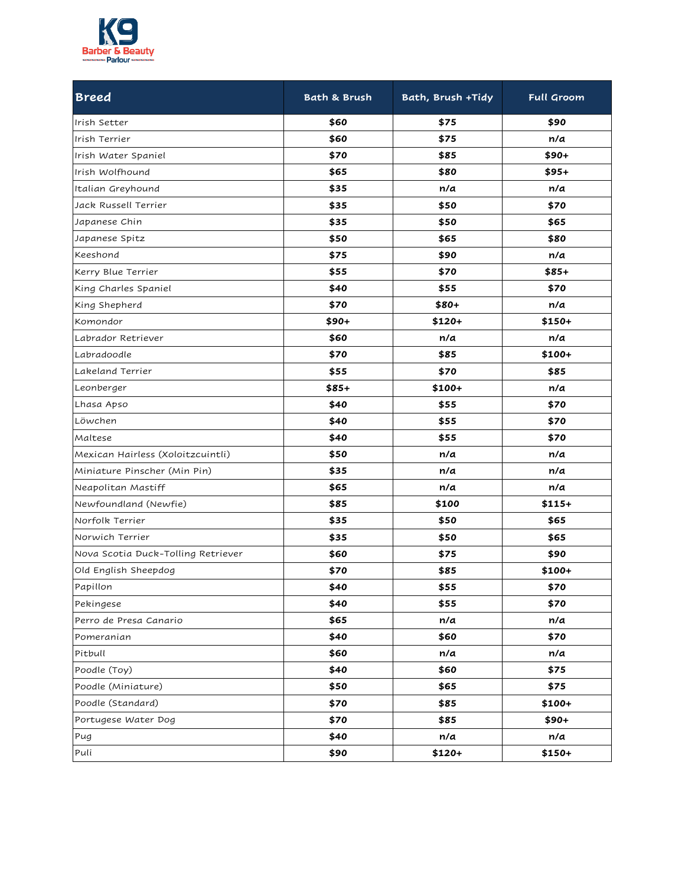

| <b>Breed</b>                       | <b>Bath &amp; Brush</b> | Bath, Brush +Tidy | Full Groom |
|------------------------------------|-------------------------|-------------------|------------|
| Irish Setter                       | \$60                    | \$75              | \$90       |
| Irish Terrier                      | \$60                    | \$75              | n/a        |
| Irish Water Spaniel                | \$70                    | \$85              | $$90+$     |
| Irish Wolfhound                    | \$65                    | \$80              | $$95+$     |
| Italian Greyhound                  | \$35                    | n/a               | n/a        |
| Jack Russell Terrier               | \$35                    | \$50              | \$70       |
| Japanese Chin                      | \$35                    | \$50              | \$65       |
| Japanese Spitz                     | \$50                    | \$65              | \$80       |
| Keeshond                           | \$75                    | \$90              | n/a        |
| Kerry Blue Terrier                 | \$55                    | \$70              | $$85+$     |
| King Charles Spaniel               | \$40                    | \$55              | \$70       |
| King Shepherd                      | \$70                    | $$80+$            | n/a        |
| Komondor                           | \$90+                   | $$120+$           | $$150+$    |
| Labrador Retriever                 | \$60                    | n/a               | n/a        |
| Labradoodle                        | \$70                    | \$85              | \$100+     |
| Lakeland Terrier                   | \$55                    | \$70              | \$85       |
| Leonberger                         | \$85+                   | $$100+$           | n/a        |
| Lhasa Apso                         | \$40                    | \$55              | \$70       |
| Löwchen                            | \$40                    | \$55              | \$70       |
| Maltese                            | \$40                    | \$55              | \$70       |
| Mexican Hairless (Xoloitzcuintli)  | \$50                    | n/a               | n/a        |
| Miniature Pinscher (Min Pin)       | \$35                    | n/a               | n/a        |
| Neapolitan Mastiff                 | \$65                    | n/a               | n/a        |
| Newfoundland (Newfie)              | \$85                    | \$100             | $$115+$    |
| Norfolk Terrier                    | \$35                    | \$50              | \$65       |
| Norwich Terrier                    | \$35                    | \$50              | \$65       |
| Nova Scotia Duck-Tolling Retriever | \$60                    | \$75              | \$90       |
| Old English Sheepdog               | \$70                    | \$85              | \$100+     |
| Papillon                           | \$40                    | \$55              | \$70       |
| Pekingese                          | \$40                    | \$55              | \$70       |
| Perro de Presa Canario             | \$65                    | n/a               | n/a        |
| Pomeranian                         | \$40                    | \$60              | \$70       |
| Pitbull                            | \$60                    | n/a               | n/a        |
| Poodle (Toy)                       | \$40                    | \$60              | \$75       |
| Poodle (Miniature)                 | \$50                    | \$65              | \$75       |
| Poodle (Standard)                  | \$70                    | \$85              | $$100+$    |
| Portugese Water Dog                | \$70                    | \$85              | $$90+$     |
| Pug                                | \$40                    | n/a               | n/a        |
| Puli                               | \$90                    | $$120+$           | $$150+$    |